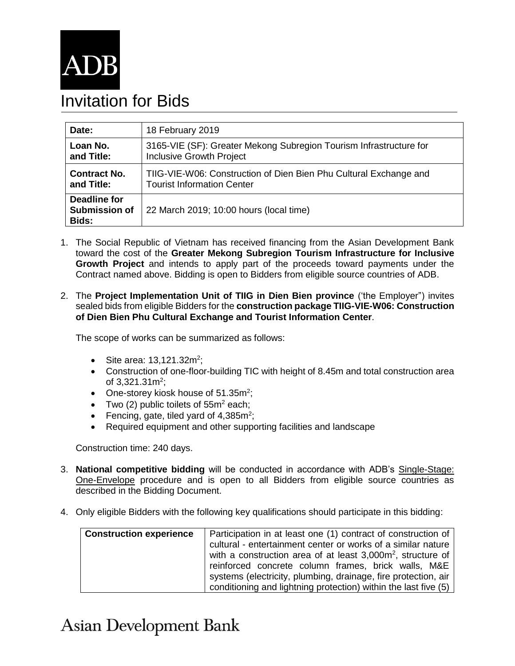

## Invitation for Bids

| Date:                                                | 18 February 2019                                                   |  |
|------------------------------------------------------|--------------------------------------------------------------------|--|
| Loan No.                                             | 3165-VIE (SF): Greater Mekong Subregion Tourism Infrastructure for |  |
| and Title:                                           | <b>Inclusive Growth Project</b>                                    |  |
| <b>Contract No.</b>                                  | TIIG-VIE-W06: Construction of Dien Bien Phu Cultural Exchange and  |  |
| and Title:                                           | <b>Tourist Information Center</b>                                  |  |
| <b>Deadline for</b><br><b>Submission of</b><br>Bids: | 22 March 2019; 10:00 hours (local time)                            |  |

- 1. The Social Republic of Vietnam has received financing from the Asian Development Bank toward the cost of the **Greater Mekong Subregion Tourism Infrastructure for Inclusive Growth Project** and intends to apply part of the proceeds toward payments under the Contract named above. Bidding is open to Bidders from eligible source countries of ADB.
- 2. The **Project Implementation Unit of TIIG in Dien Bien province** ('the Employer") invites sealed bids from eligible Bidders for the **construction package TIIG-VIE-W06: Construction of Dien Bien Phu Cultural Exchange and Tourist Information Center**.

The scope of works can be summarized as follows:

- Site area:  $13,121.32m^2$ ;
- Construction of one-floor-building TIC with height of 8.45m and total construction area of 3,321.31 $m^2$ ;
- One-storey kiosk house of 51.35m<sup>2</sup>;
- Two (2) public toilets of  $55m^2$  each;
- Fencing, gate, tiled yard of  $4,385m^2$ ;
- Required equipment and other supporting facilities and landscape

Construction time: 240 days.

- 3. **National competitive bidding** will be conducted in accordance with ADB's [Single-Stage:](https://www.adb.org/site/business-opportunities/operational-procurement/goods-services/bidding-procedures)  [One-Envelope](https://www.adb.org/site/business-opportunities/operational-procurement/goods-services/bidding-procedures) procedure and is open to all Bidders from eligible source countries as described in the Bidding Document.
- 4. Only eligible Bidders with the following key qualifications should participate in this bidding:

| <b>Construction experience</b> | Participation in at least one (1) contract of construction of           |
|--------------------------------|-------------------------------------------------------------------------|
|                                | cultural - entertainment center or works of a similar nature            |
|                                | with a construction area of at least 3,000m <sup>2</sup> , structure of |
|                                | reinforced concrete column frames, brick walls, M&E                     |
|                                | systems (electricity, plumbing, drainage, fire protection, air          |
|                                | conditioning and lightning protection) within the last five (5)         |

## **Asian Development Bank**